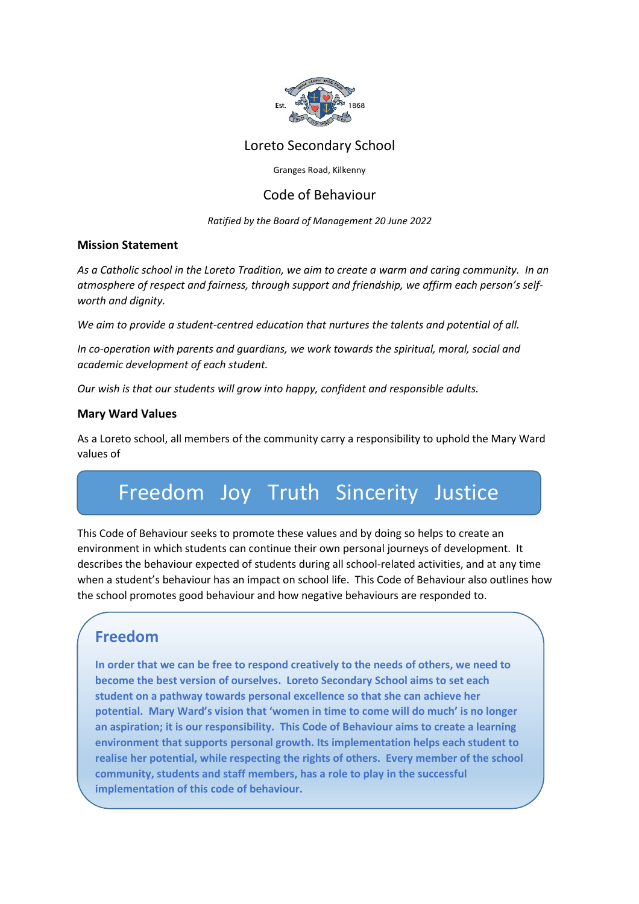

Loreto Secondary School

Granges Road, Kilkenny

## Code of Behaviour

*Ratified by the Board of Management 20 June 2022* 

## **Mission Statement**

*As a Catholic school in the Loreto Tradition, we aim to create a warm and caring community. In an atmosphere of respect and fairness, through support and friendship, we affirm each person's selfworth and dignity.* 

*We aim to provide a student-centred education that nurtures the talents and potential of all.* 

*In co-operation with parents and guardians, we work towards the spiritual, moral, social and academic development of each student.* 

*Our wish is that our students will grow into happy, confident and responsible adults.* 

## **Mary Ward Values**

As a Loreto school, all members of the community carry a responsibility to uphold the Mary Ward values of

# Freedom Joy Truth Sincerity Justice

This Code of Behaviour seeks to promote these values and by doing so helps to create an environment in which students can continue their own personal journeys of development. It describes the behaviour expected of students during all school-related activities, and at any time when a student's behaviour has an impact on school life. This Code of Behaviour also outlines how the school promotes good behaviour and how negative behaviours are responded to.

## **Freedom**

**In order that we can be free to respond creatively to the needs of others, we need to become the best version of ourselves. Loreto Secondary School aims to set each student on a pathway towards personal excellence so that she can achieve her potential. Mary Ward's vision that 'women in time to come will do much' is no longer an aspiration; it is our responsibility. This Code of Behaviour aims to create a learning environment that supports personal growth. Its implementation helps each student to realise her potential, while respecting the rights of others. Every member of the school community, students and staff members, has a role to play in the successful implementation of this code of behaviour.**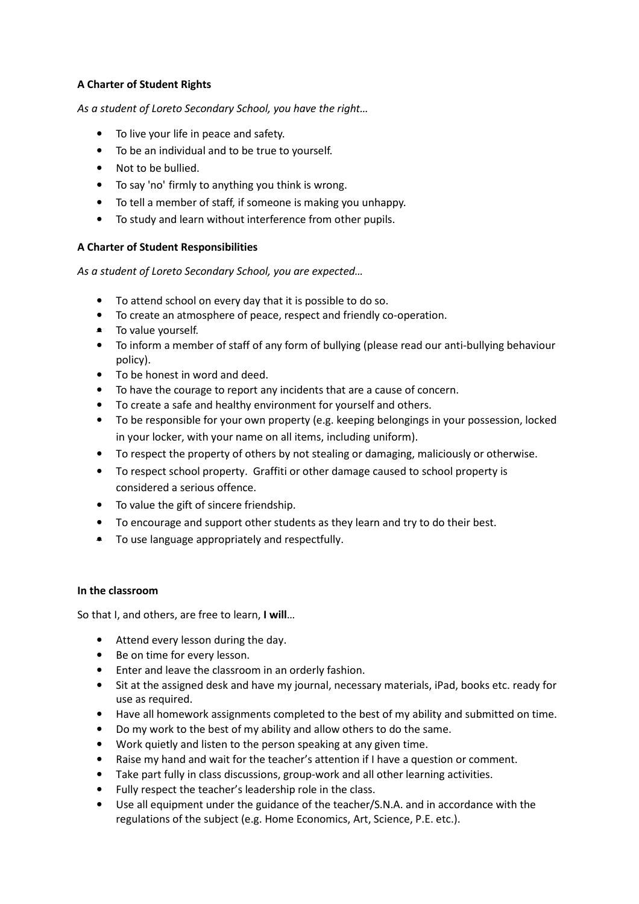## **A Charter of Student Rights**

*As a student of Loreto Secondary School, you have the right…* 

- To live your life in peace and safety.
- To be an individual and to be true to yourself.
- Not to be bullied.
- To say 'no' firmly to anything you think is wrong.
- To tell a member of staff, if someone is making you unhappy.
- To study and learn without interference from other pupils.

## **A Charter of Student Responsibilities**

*As a student of Loreto Secondary School, you are expected…* 

- To attend school on every day that it is possible to do so.
- To create an atmosphere of peace, respect and friendly co-operation.
- To value yourself.
- To inform a member of staff of any form of bullying (please read our anti-bullying behaviour policy).
- To be honest in word and deed.
- To have the courage to report any incidents that are a cause of concern.
- To create a safe and healthy environment for yourself and others.
- To be responsible for your own property (e.g. keeping belongings in your possession, locked in your locker, with your name on all items, including uniform).
- To respect the property of others by not stealing or damaging, maliciously or otherwise.
- To respect school property. Graffiti or other damage caused to school property is considered a serious offence.
- To value the gift of sincere friendship.
- To encourage and support other students as they learn and try to do their best.
- To use language appropriately and respectfully.

#### **In the classroom**

So that I, and others, are free to learn, **I will**…

- Attend every lesson during the day.
- Be on time for every lesson.
- Enter and leave the classroom in an orderly fashion.
- Sit at the assigned desk and have my journal, necessary materials, iPad, books etc. ready for use as required.
- Have all homework assignments completed to the best of my ability and submitted on time.
- Do my work to the best of my ability and allow others to do the same.
- Work quietly and listen to the person speaking at any given time.
- Raise my hand and wait for the teacher's attention if I have a question or comment.
- Take part fully in class discussions, group-work and all other learning activities.
- Fully respect the teacher's leadership role in the class.
- Use all equipment under the guidance of the teacher/S.N.A. and in accordance with the regulations of the subject (e.g. Home Economics, Art, Science, P.E. etc.).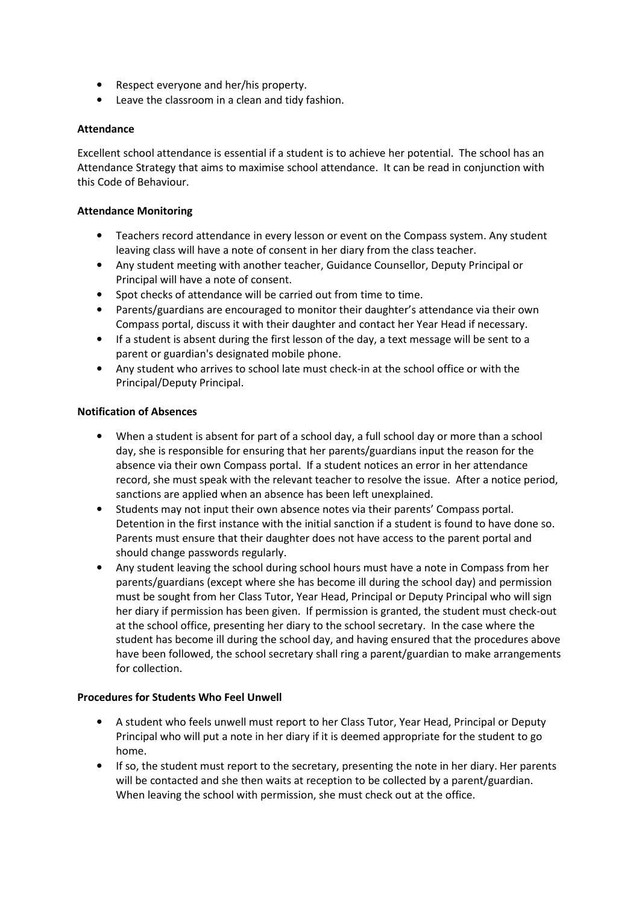- Respect everyone and her/his property.
- Leave the classroom in a clean and tidy fashion.

#### **Attendance**

Excellent school attendance is essential if a student is to achieve her potential. The school has an Attendance Strategy that aims to maximise school attendance. It can be read in conjunction with this Code of Behaviour.

#### **Attendance Monitoring**

- Teachers record attendance in every lesson or event on the Compass system. Any student leaving class will have a note of consent in her diary from the class teacher.
- Any student meeting with another teacher, Guidance Counsellor, Deputy Principal or Principal will have a note of consent.
- Spot checks of attendance will be carried out from time to time.
- Parents/guardians are encouraged to monitor their daughter's attendance via their own Compass portal, discuss it with their daughter and contact her Year Head if necessary.
- If a student is absent during the first lesson of the day, a text message will be sent to a parent or guardian's designated mobile phone.
- Any student who arrives to school late must check-in at the school office or with the Principal/Deputy Principal.

#### **Notification of Absences**

- When a student is absent for part of a school day, a full school day or more than a school day, she is responsible for ensuring that her parents/guardians input the reason for the absence via their own Compass portal. If a student notices an error in her attendance record, she must speak with the relevant teacher to resolve the issue. After a notice period, sanctions are applied when an absence has been left unexplained.
- Students may not input their own absence notes via their parents' Compass portal. Detention in the first instance with the initial sanction if a student is found to have done so. Parents must ensure that their daughter does not have access to the parent portal and should change passwords regularly.
- Any student leaving the school during school hours must have a note in Compass from her parents/guardians (except where she has become ill during the school day) and permission must be sought from her Class Tutor, Year Head, Principal or Deputy Principal who will sign her diary if permission has been given. If permission is granted, the student must check-out at the school office, presenting her diary to the school secretary. In the case where the student has become ill during the school day, and having ensured that the procedures above have been followed, the school secretary shall ring a parent/guardian to make arrangements for collection.

#### **Procedures for Students Who Feel Unwell**

- A student who feels unwell must report to her Class Tutor, Year Head, Principal or Deputy Principal who will put a note in her diary if it is deemed appropriate for the student to go home.
- If so, the student must report to the secretary, presenting the note in her diary. Her parents will be contacted and she then waits at reception to be collected by a parent/guardian. When leaving the school with permission, she must check out at the office.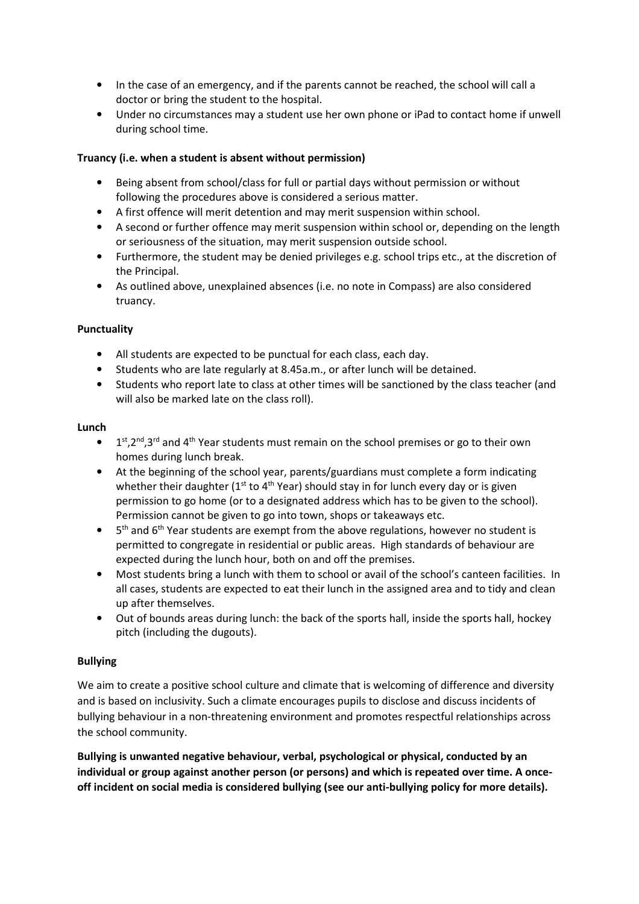- In the case of an emergency, and if the parents cannot be reached, the school will call a doctor or bring the student to the hospital.
- Under no circumstances may a student use her own phone or iPad to contact home if unwell during school time.

## **Truancy (i.e. when a student is absent without permission)**

- Being absent from school/class for full or partial days without permission or without following the procedures above is considered a serious matter.
- A first offence will merit detention and may merit suspension within school.
- A second or further offence may merit suspension within school or, depending on the length or seriousness of the situation, may merit suspension outside school.
- Furthermore, the student may be denied privileges e.g. school trips etc., at the discretion of the Principal.
- As outlined above, unexplained absences (i.e. no note in Compass) are also considered truancy.

#### **Punctuality**

- All students are expected to be punctual for each class, each day.
- Students who are late regularly at 8.45a.m., or after lunch will be detained.
- Students who report late to class at other times will be sanctioned by the class teacher (and will also be marked late on the class roll).

#### **Lunch**

- $\bullet$  1<sup>st</sup>,2<sup>nd</sup>,3<sup>rd</sup> and 4<sup>th</sup> Year students must remain on the school premises or go to their own homes during lunch break.
- At the beginning of the school year, parents/guardians must complete a form indicating whether their daughter ( $1<sup>st</sup>$  to  $4<sup>th</sup>$  Year) should stay in for lunch every day or is given permission to go home (or to a designated address which has to be given to the school). Permission cannot be given to go into town, shops or takeaways etc.
- $\bullet$  $5<sup>th</sup>$  and  $6<sup>th</sup>$  Year students are exempt from the above regulations, however no student is permitted to congregate in residential or public areas. High standards of behaviour are expected during the lunch hour, both on and off the premises.
- Most students bring a lunch with them to school or avail of the school's canteen facilities. In all cases, students are expected to eat their lunch in the assigned area and to tidy and clean up after themselves.
- Out of bounds areas during lunch: the back of the sports hall, inside the sports hall, hockey pitch (including the dugouts).

#### **Bullying**

We aim to create a positive school culture and climate that is welcoming of difference and diversity and is based on inclusivity. Such a climate encourages pupils to disclose and discuss incidents of bullying behaviour in a non-threatening environment and promotes respectful relationships across the school community.

**Bullying is unwanted negative behaviour, verbal, psychological or physical, conducted by an individual or group against another person (or persons) and which is repeated over time. A onceoff incident on social media is considered bullying (see our anti-bullying policy for more details).**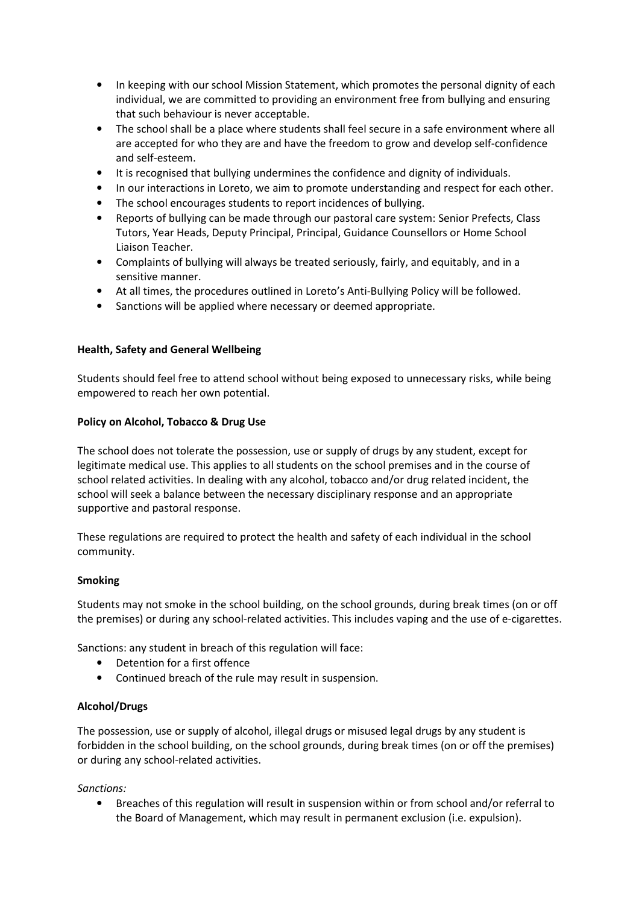- In keeping with our school Mission Statement, which promotes the personal dignity of each individual, we are committed to providing an environment free from bullying and ensuring that such behaviour is never acceptable.
- The school shall be a place where students shall feel secure in a safe environment where all are accepted for who they are and have the freedom to grow and develop self-confidence and self-esteem.
- It is recognised that bullying undermines the confidence and dignity of individuals.
- In our interactions in Loreto, we aim to promote understanding and respect for each other.
- The school encourages students to report incidences of bullying.
- Reports of bullying can be made through our pastoral care system: Senior Prefects, Class Tutors, Year Heads, Deputy Principal, Principal, Guidance Counsellors or Home School Liaison Teacher.
- Complaints of bullying will always be treated seriously, fairly, and equitably, and in a sensitive manner.
- At all times, the procedures outlined in Loreto's Anti-Bullying Policy will be followed.
- Sanctions will be applied where necessary or deemed appropriate.

## **Health, Safety and General Wellbeing**

Students should feel free to attend school without being exposed to unnecessary risks, while being empowered to reach her own potential.

#### **Policy on Alcohol, Tobacco & Drug Use**

The school does not tolerate the possession, use or supply of drugs by any student, except for legitimate medical use. This applies to all students on the school premises and in the course of school related activities. In dealing with any alcohol, tobacco and/or drug related incident, the school will seek a balance between the necessary disciplinary response and an appropriate supportive and pastoral response.

These regulations are required to protect the health and safety of each individual in the school community.

#### **Smoking**

Students may not smoke in the school building, on the school grounds, during break times (on or off the premises) or during any school-related activities. This includes vaping and the use of e-cigarettes.

Sanctions: any student in breach of this regulation will face:

- Detention for a first offence
- Continued breach of the rule may result in suspension.

## **Alcohol/Drugs**

The possession, use or supply of alcohol, illegal drugs or misused legal drugs by any student is forbidden in the school building, on the school grounds, during break times (on or off the premises) or during any school-related activities.

*Sanctions:* 

• Breaches of this regulation will result in suspension within or from school and/or referral to the Board of Management, which may result in permanent exclusion (i.e. expulsion).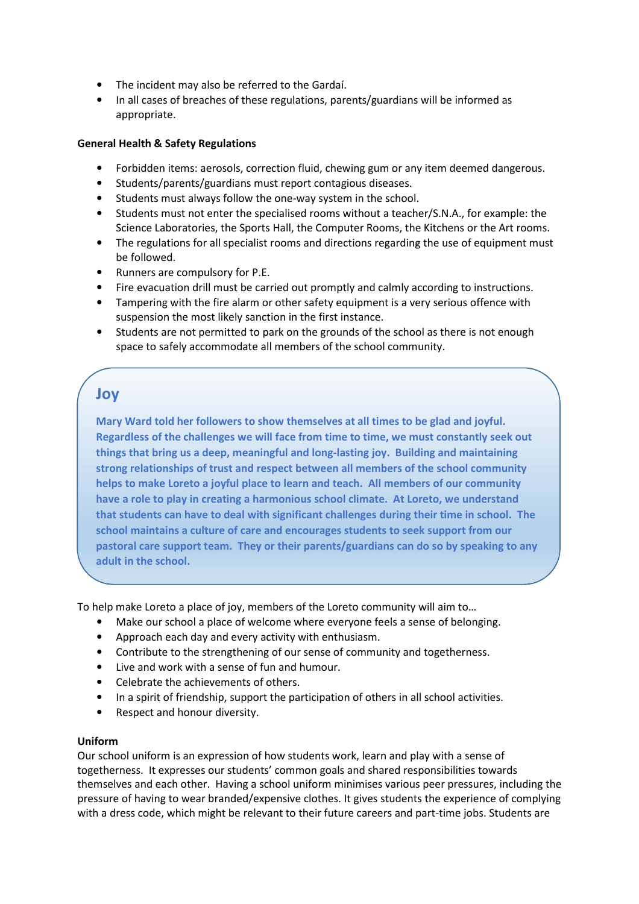- The incident may also be referred to the Gardaí.
- In all cases of breaches of these regulations, parents/guardians will be informed as appropriate.

#### **General Health & Safety Regulations**

- Forbidden items: aerosols, correction fluid, chewing gum or any item deemed dangerous.
- Students/parents/guardians must report contagious diseases.
- Students must always follow the one-way system in the school.
- Students must not enter the specialised rooms without a teacher/S.N.A., for example: the Science Laboratories, the Sports Hall, the Computer Rooms, the Kitchens or the Art rooms.
- The regulations for all specialist rooms and directions regarding the use of equipment must be followed.
- Runners are compulsory for P.E.
- Fire evacuation drill must be carried out promptly and calmly according to instructions.
- Tampering with the fire alarm or other safety equipment is a very serious offence with suspension the most likely sanction in the first instance.
- Students are not permitted to park on the grounds of the school as there is not enough space to safely accommodate all members of the school community.

## **Joy**

**Mary Ward told her followers to show themselves at all times to be glad and joyful. Regardless of the challenges we will face from time to time, we must constantly seek out things that bring us a deep, meaningful and long-lasting joy. Building and maintaining strong relationships of trust and respect between all members of the school community helps to make Loreto a joyful place to learn and teach. All members of our community have a role to play in creating a harmonious school climate. At Loreto, we understand that students can have to deal with significant challenges during their time in school. The school maintains a culture of care and encourages students to seek support from our pastoral care support team. They or their parents/guardians can do so by speaking to any adult in the school.** 

To help make Loreto a place of joy, members of the Loreto community will aim to…

- Make our school a place of welcome where everyone feels a sense of belonging.
- Approach each day and every activity with enthusiasm.
- Contribute to the strengthening of our sense of community and togetherness.
- Live and work with a sense of fun and humour.
- Celebrate the achievements of others.
- In a spirit of friendship, support the participation of others in all school activities.
- Respect and honour diversity.

#### **Uniform**

Our school uniform is an expression of how students work, learn and play with a sense of togetherness. It expresses our students' common goals and shared responsibilities towards themselves and each other. Having a school uniform minimises various peer pressures, including the pressure of having to wear branded/expensive clothes. It gives students the experience of complying with a dress code, which might be relevant to their future careers and part-time jobs. Students are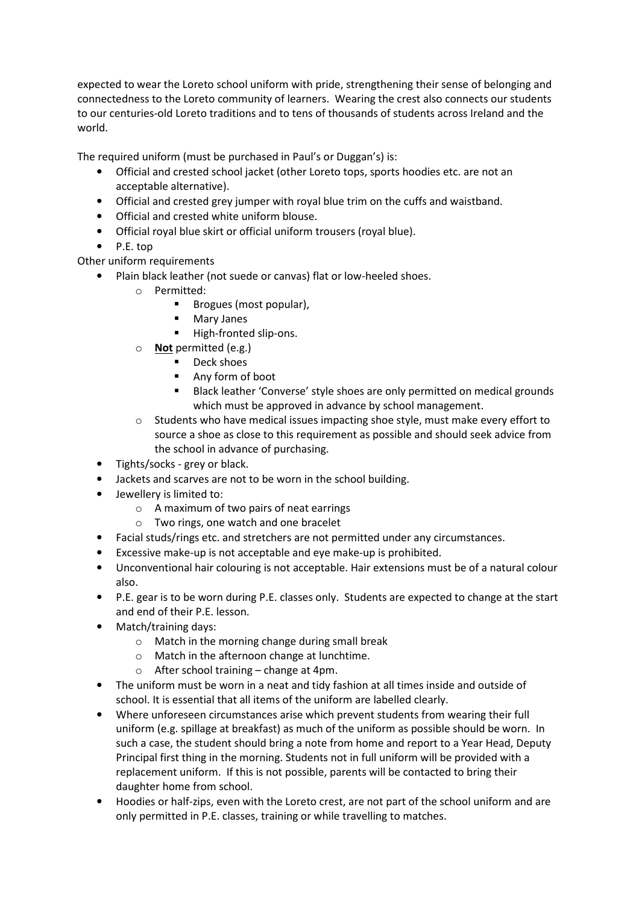expected to wear the Loreto school uniform with pride, strengthening their sense of belonging and connectedness to the Loreto community of learners. Wearing the crest also connects our students to our centuries-old Loreto traditions and to tens of thousands of students across Ireland and the world.

The required uniform (must be purchased in Paul's or Duggan's) is:

- Official and crested school jacket (other Loreto tops, sports hoodies etc. are not an acceptable alternative).
- Official and crested grey jumper with royal blue trim on the cuffs and waistband.
- Official and crested white uniform blouse.
- Official royal blue skirt or official uniform trousers (royal blue).
- P.E. top
- Other uniform requirements
	- Plain black leather (not suede or canvas) flat or low-heeled shoes.
		- o Permitted:
			- Brogues (most popular),
			- **Mary Janes**
			- High-fronted slip-ons.
		- o **Not** permitted (e.g.)
			- Deck shoes
			- Any form of boot
			- **Black leather 'Converse' style shoes are only permitted on medical grounds** which must be approved in advance by school management.
		- $\circ$  Students who have medical issues impacting shoe style, must make every effort to source a shoe as close to this requirement as possible and should seek advice from the school in advance of purchasing.
		- Tights/socks grey or black.
		- Jackets and scarves are not to be worn in the school building.
		- Jewellery is limited to:
			- o A maximum of two pairs of neat earrings
			- o Two rings, one watch and one bracelet
		- Facial studs/rings etc. and stretchers are not permitted under any circumstances.
		- Excessive make-up is not acceptable and eye make-up is prohibited.
		- Unconventional hair colouring is not acceptable. Hair extensions must be of a natural colour also.
		- P.E. gear is to be worn during P.E. classes only. Students are expected to change at the start and end of their P.E. lesson.
		- Match/training days:
			- o Match in the morning change during small break
			- o Match in the afternoon change at lunchtime.
			- $\circ$  After school training change at 4pm.
		- The uniform must be worn in a neat and tidy fashion at all times inside and outside of school. It is essential that all items of the uniform are labelled clearly.
		- Where unforeseen circumstances arise which prevent students from wearing their full uniform (e.g. spillage at breakfast) as much of the uniform as possible should be worn. In such a case, the student should bring a note from home and report to a Year Head, Deputy Principal first thing in the morning. Students not in full uniform will be provided with a replacement uniform. If this is not possible, parents will be contacted to bring their daughter home from school.
		- Hoodies or half-zips, even with the Loreto crest, are not part of the school uniform and are only permitted in P.E. classes, training or while travelling to matches.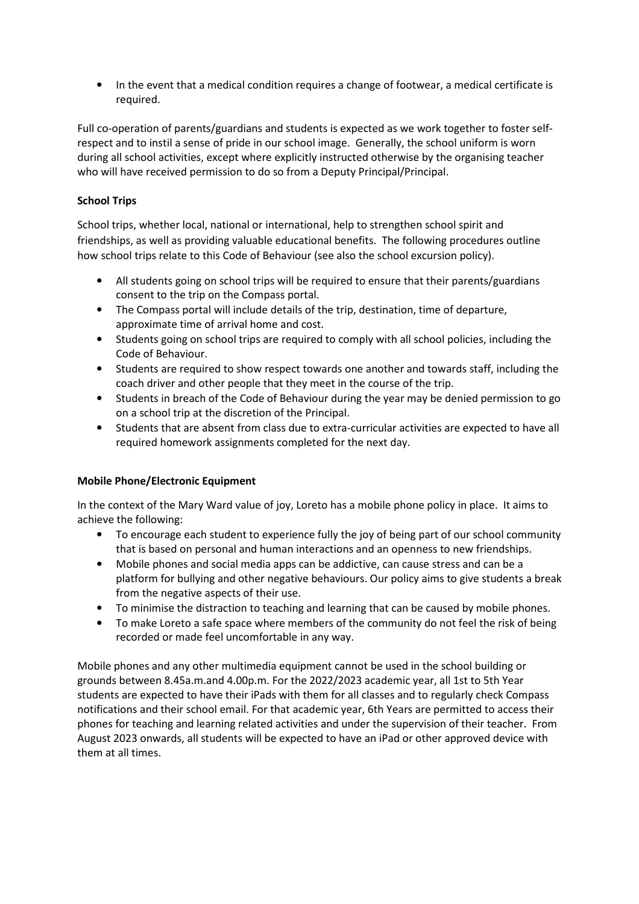• In the event that a medical condition requires a change of footwear, a medical certificate is required.

Full co-operation of parents/guardians and students is expected as we work together to foster selfrespect and to instil a sense of pride in our school image. Generally, the school uniform is worn during all school activities, except where explicitly instructed otherwise by the organising teacher who will have received permission to do so from a Deputy Principal/Principal.

## **School Trips**

School trips, whether local, national or international, help to strengthen school spirit and friendships, as well as providing valuable educational benefits. The following procedures outline how school trips relate to this Code of Behaviour (see also the school excursion policy).

- All students going on school trips will be required to ensure that their parents/guardians consent to the trip on the Compass portal.
- The Compass portal will include details of the trip, destination, time of departure, approximate time of arrival home and cost.
- Students going on school trips are required to comply with all school policies, including the Code of Behaviour.
- Students are required to show respect towards one another and towards staff, including the coach driver and other people that they meet in the course of the trip.
- Students in breach of the Code of Behaviour during the year may be denied permission to go on a school trip at the discretion of the Principal.
- Students that are absent from class due to extra-curricular activities are expected to have all required homework assignments completed for the next day.

## **Mobile Phone/Electronic Equipment**

In the context of the Mary Ward value of joy, Loreto has a mobile phone policy in place. It aims to achieve the following:

- To encourage each student to experience fully the joy of being part of our school community that is based on personal and human interactions and an openness to new friendships.
- Mobile phones and social media apps can be addictive, can cause stress and can be a platform for bullying and other negative behaviours. Our policy aims to give students a break from the negative aspects of their use.
- To minimise the distraction to teaching and learning that can be caused by mobile phones.
- To make Loreto a safe space where members of the community do not feel the risk of being recorded or made feel uncomfortable in any way.

Mobile phones and any other multimedia equipment cannot be used in the school building or grounds between 8.45a.m.and 4.00p.m. For the 2022/2023 academic year, all 1st to 5th Year students are expected to have their iPads with them for all classes and to regularly check Compass notifications and their school email. For that academic year, 6th Years are permitted to access their phones for teaching and learning related activities and under the supervision of their teacher. From August 2023 onwards, all students will be expected to have an iPad or other approved device with them at all times.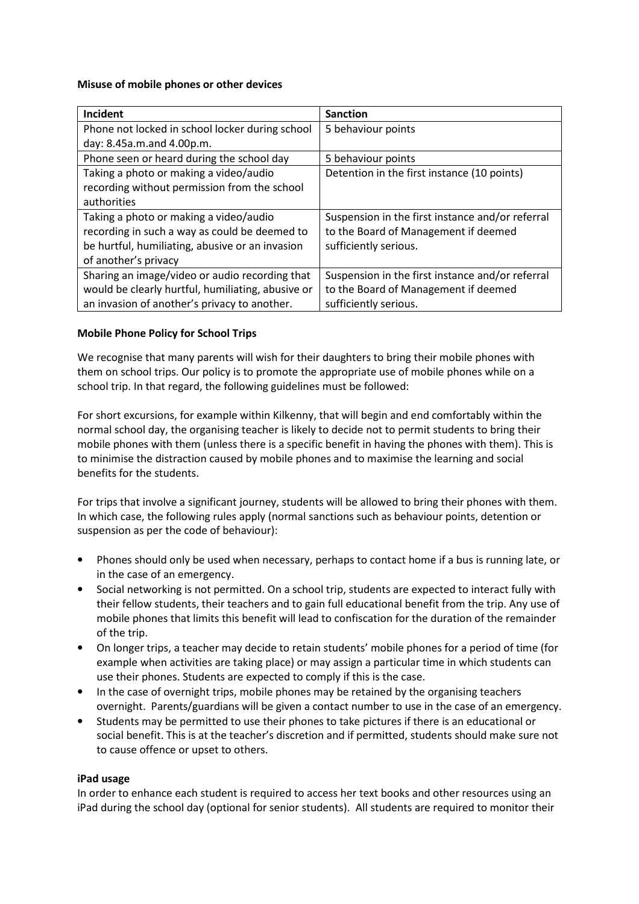#### **Misuse of mobile phones or other devices**

| Incident                                          | <b>Sanction</b>                                  |
|---------------------------------------------------|--------------------------------------------------|
| Phone not locked in school locker during school   | 5 behaviour points                               |
| day: 8.45a.m.and 4.00p.m.                         |                                                  |
| Phone seen or heard during the school day         | 5 behaviour points                               |
| Taking a photo or making a video/audio            | Detention in the first instance (10 points)      |
| recording without permission from the school      |                                                  |
| authorities                                       |                                                  |
| Taking a photo or making a video/audio            | Suspension in the first instance and/or referral |
| recording in such a way as could be deemed to     | to the Board of Management if deemed             |
| be hurtful, humiliating, abusive or an invasion   | sufficiently serious.                            |
| of another's privacy                              |                                                  |
| Sharing an image/video or audio recording that    | Suspension in the first instance and/or referral |
| would be clearly hurtful, humiliating, abusive or | to the Board of Management if deemed             |
| an invasion of another's privacy to another.      | sufficiently serious.                            |

#### **Mobile Phone Policy for School Trips**

We recognise that many parents will wish for their daughters to bring their mobile phones with them on school trips. Our policy is to promote the appropriate use of mobile phones while on a school trip. In that regard, the following guidelines must be followed:

For short excursions, for example within Kilkenny, that will begin and end comfortably within the normal school day, the organising teacher is likely to decide not to permit students to bring their mobile phones with them (unless there is a specific benefit in having the phones with them). This is to minimise the distraction caused by mobile phones and to maximise the learning and social benefits for the students.

For trips that involve a significant journey, students will be allowed to bring their phones with them. In which case, the following rules apply (normal sanctions such as behaviour points, detention or suspension as per the code of behaviour):

- Phones should only be used when necessary, perhaps to contact home if a bus is running late, or in the case of an emergency.
- Social networking is not permitted. On a school trip, students are expected to interact fully with their fellow students, their teachers and to gain full educational benefit from the trip. Any use of mobile phones that limits this benefit will lead to confiscation for the duration of the remainder of the trip.
- On longer trips, a teacher may decide to retain students' mobile phones for a period of time (for example when activities are taking place) or may assign a particular time in which students can use their phones. Students are expected to comply if this is the case.
- In the case of overnight trips, mobile phones may be retained by the organising teachers overnight. Parents/guardians will be given a contact number to use in the case of an emergency.
- Students may be permitted to use their phones to take pictures if there is an educational or social benefit. This is at the teacher's discretion and if permitted, students should make sure not to cause offence or upset to others.

#### **iPad usage**

In order to enhance each student is required to access her text books and other resources using an iPad during the school day (optional for senior students). All students are required to monitor their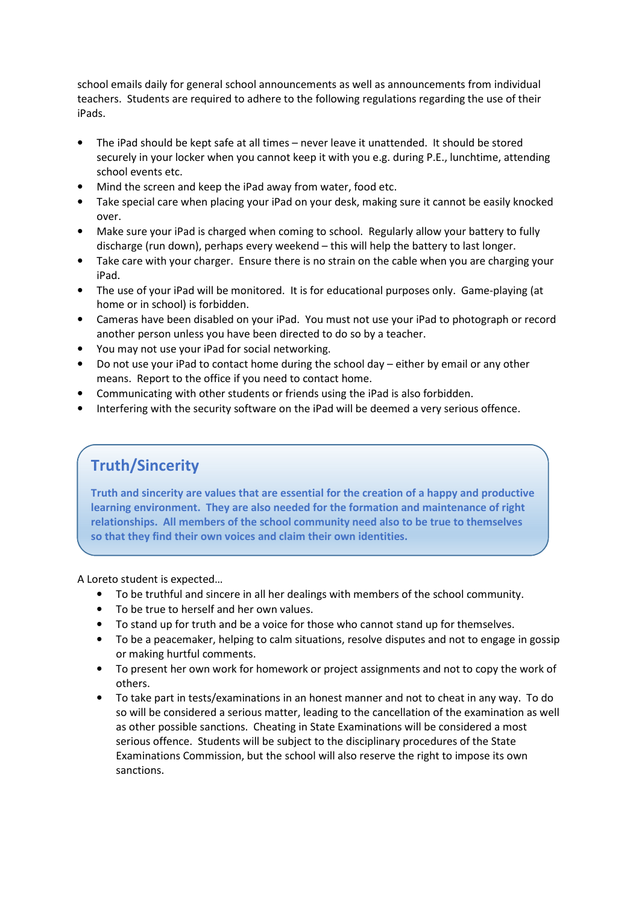school emails daily for general school announcements as well as announcements from individual teachers. Students are required to adhere to the following regulations regarding the use of their iPads.

- The iPad should be kept safe at all times never leave it unattended. It should be stored securely in your locker when you cannot keep it with you e.g. during P.E., lunchtime, attending school events etc.
- Mind the screen and keep the iPad away from water, food etc.
- Take special care when placing your iPad on your desk, making sure it cannot be easily knocked over.
- Make sure your iPad is charged when coming to school. Regularly allow your battery to fully discharge (run down), perhaps every weekend – this will help the battery to last longer.
- Take care with your charger. Ensure there is no strain on the cable when you are charging your iPad.
- The use of your iPad will be monitored. It is for educational purposes only. Game-playing (at home or in school) is forbidden.
- Cameras have been disabled on your iPad. You must not use your iPad to photograph or record another person unless you have been directed to do so by a teacher.
- You may not use your iPad for social networking.
- Do not use your iPad to contact home during the school day either by email or any other means. Report to the office if you need to contact home.
- Communicating with other students or friends using the iPad is also forbidden.
- Interfering with the security software on the iPad will be deemed a very serious offence.

## **Truth/Sincerity**

**Truth and sincerity are values that are essential for the creation of a happy and productive learning environment. They are also needed for the formation and maintenance of right relationships. All members of the school community need also to be true to themselves so that they find their own voices and claim their own identities.**

A Loreto student is expected…

- To be truthful and sincere in all her dealings with members of the school community.
- To be true to herself and her own values.
- To stand up for truth and be a voice for those who cannot stand up for themselves.
- To be a peacemaker, helping to calm situations, resolve disputes and not to engage in gossip or making hurtful comments.
- To present her own work for homework or project assignments and not to copy the work of others.
- To take part in tests/examinations in an honest manner and not to cheat in any way. To do so will be considered a serious matter, leading to the cancellation of the examination as well as other possible sanctions. Cheating in State Examinations will be considered a most serious offence. Students will be subject to the disciplinary procedures of the State Examinations Commission, but the school will also reserve the right to impose its own sanctions.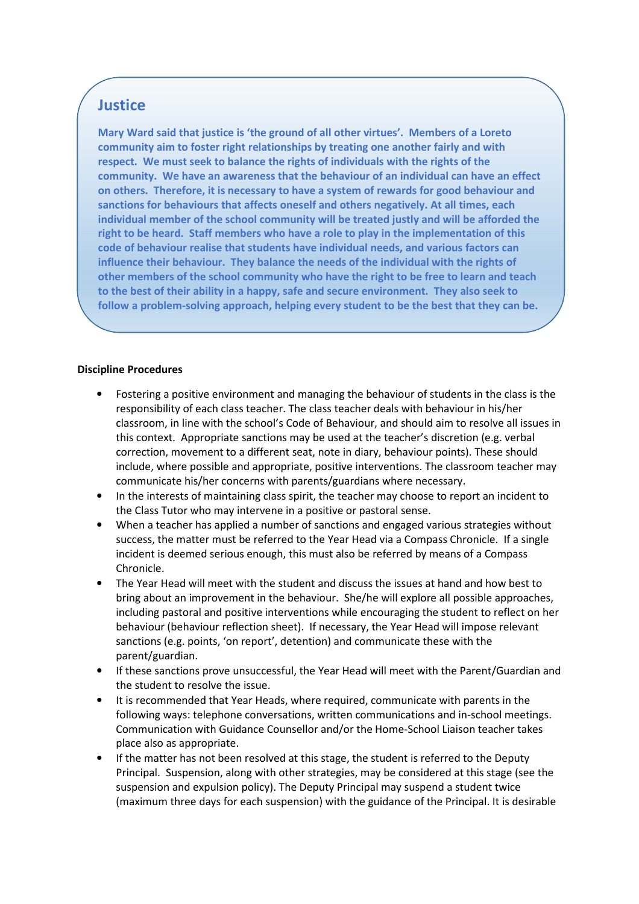## **Justice**

**Mary Ward said that justice is 'the ground of all other virtues'. Members of a Loreto community aim to foster right relationships by treating one another fairly and with respect. We must seek to balance the rights of individuals with the rights of the community. We have an awareness that the behaviour of an individual can have an effect on others. Therefore, it is necessary to have a system of rewards for good behaviour and sanctions for behaviours that affects oneself and others negatively. At all times, each individual member of the school community will be treated justly and will be afforded the right to be heard. Staff members who have a role to play in the implementation of this code of behaviour realise that students have individual needs, and various factors can influence their behaviour. They balance the needs of the individual with the rights of other members of the school community who have the right to be free to learn and teach to the best of their ability in a happy, safe and secure environment. They also seek to follow a problem-solving approach, helping every student to be the best that they can be.** 

#### **Discipline Procedures**

- Fostering a positive environment and managing the behaviour of students in the class is the responsibility of each class teacher. The class teacher deals with behaviour in his/her classroom, in line with the school's Code of Behaviour, and should aim to resolve all issues in this context. Appropriate sanctions may be used at the teacher's discretion (e.g. verbal correction, movement to a different seat, note in diary, behaviour points). These should include, where possible and appropriate, positive interventions. The classroom teacher may communicate his/her concerns with parents/guardians where necessary.
- In the interests of maintaining class spirit, the teacher may choose to report an incident to the Class Tutor who may intervene in a positive or pastoral sense.
- When a teacher has applied a number of sanctions and engaged various strategies without success, the matter must be referred to the Year Head via a Compass Chronicle. If a single incident is deemed serious enough, this must also be referred by means of a Compass Chronicle.
- The Year Head will meet with the student and discuss the issues at hand and how best to bring about an improvement in the behaviour. She/he will explore all possible approaches, including pastoral and positive interventions while encouraging the student to reflect on her behaviour (behaviour reflection sheet). If necessary, the Year Head will impose relevant sanctions (e.g. points, 'on report', detention) and communicate these with the parent/guardian.
- If these sanctions prove unsuccessful, the Year Head will meet with the Parent/Guardian and the student to resolve the issue.
- It is recommended that Year Heads, where required, communicate with parents in the following ways: telephone conversations, written communications and in-school meetings. Communication with Guidance Counsellor and/or the Home-School Liaison teacher takes place also as appropriate.
- If the matter has not been resolved at this stage, the student is referred to the Deputy Principal. Suspension, along with other strategies, may be considered at this stage (see the suspension and expulsion policy). The Deputy Principal may suspend a student twice (maximum three days for each suspension) with the guidance of the Principal. It is desirable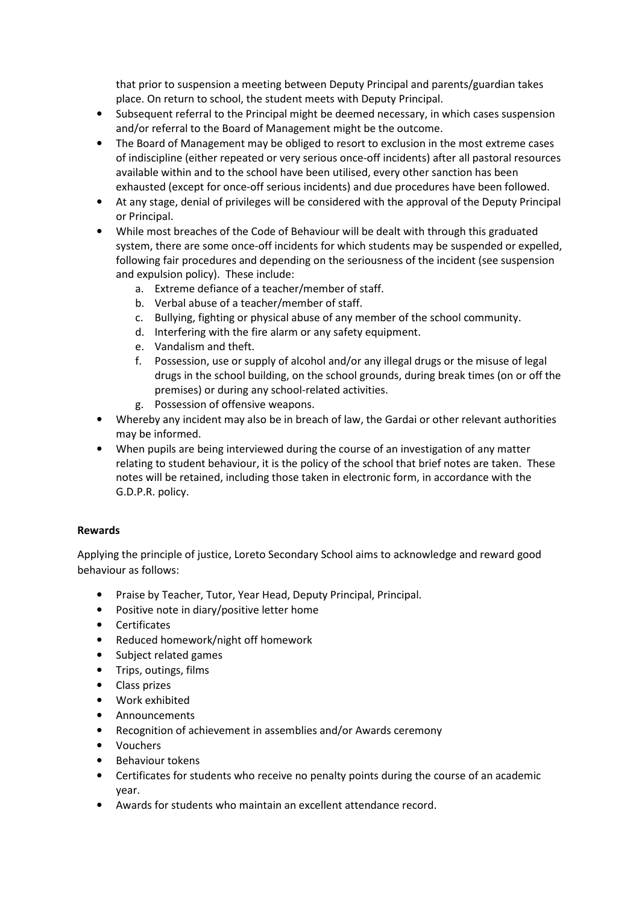that prior to suspension a meeting between Deputy Principal and parents/guardian takes place. On return to school, the student meets with Deputy Principal.

- Subsequent referral to the Principal might be deemed necessary, in which cases suspension and/or referral to the Board of Management might be the outcome.
- The Board of Management may be obliged to resort to exclusion in the most extreme cases of indiscipline (either repeated or very serious once-off incidents) after all pastoral resources available within and to the school have been utilised, every other sanction has been exhausted (except for once-off serious incidents) and due procedures have been followed.
- At any stage, denial of privileges will be considered with the approval of the Deputy Principal or Principal.
- While most breaches of the Code of Behaviour will be dealt with through this graduated system, there are some once-off incidents for which students may be suspended or expelled, following fair procedures and depending on the seriousness of the incident (see suspension and expulsion policy). These include:
	- a. Extreme defiance of a teacher/member of staff.
	- b. Verbal abuse of a teacher/member of staff.
	- c. Bullying, fighting or physical abuse of any member of the school community.
	- d. Interfering with the fire alarm or any safety equipment.
	- e. Vandalism and theft.
	- f. Possession, use or supply of alcohol and/or any illegal drugs or the misuse of legal drugs in the school building, on the school grounds, during break times (on or off the premises) or during any school-related activities.
	- g. Possession of offensive weapons.
- Whereby any incident may also be in breach of law, the Gardai or other relevant authorities may be informed.
- When pupils are being interviewed during the course of an investigation of any matter relating to student behaviour, it is the policy of the school that brief notes are taken. These notes will be retained, including those taken in electronic form, in accordance with the G.D.P.R. policy.

#### **Rewards**

Applying the principle of justice, Loreto Secondary School aims to acknowledge and reward good behaviour as follows:

- Praise by Teacher, Tutor, Year Head, Deputy Principal, Principal.
- Positive note in diary/positive letter home
- Certificates
- Reduced homework/night off homework
- Subject related games
- Trips, outings, films
- Class prizes
- Work exhibited
- Announcements
- Recognition of achievement in assemblies and/or Awards ceremony
- Vouchers
- Behaviour tokens
- Certificates for students who receive no penalty points during the course of an academic year.
- Awards for students who maintain an excellent attendance record.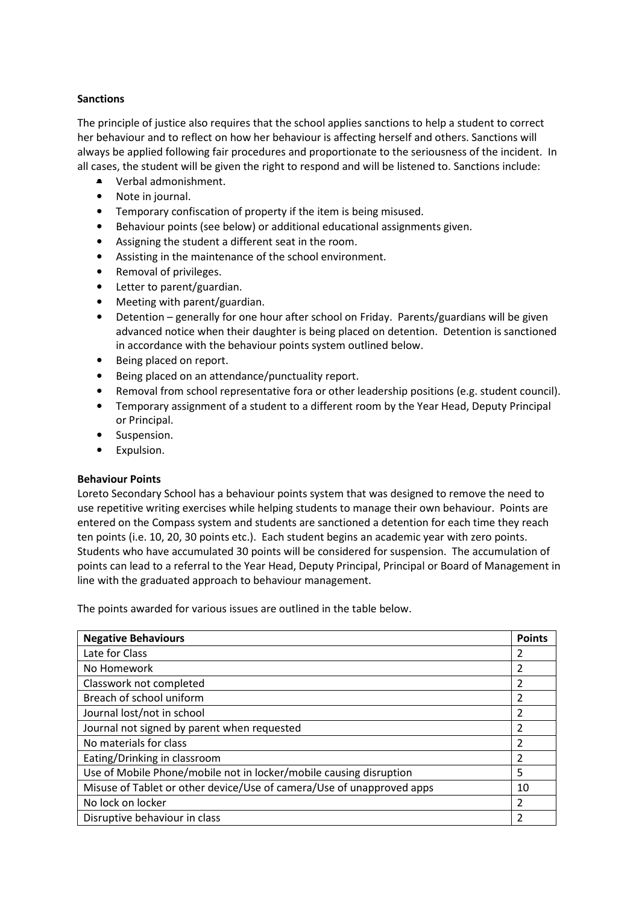#### **Sanctions**

The principle of justice also requires that the school applies sanctions to help a student to correct her behaviour and to reflect on how her behaviour is affecting herself and others. Sanctions will always be applied following fair procedures and proportionate to the seriousness of the incident. In all cases, the student will be given the right to respond and will be listened to. Sanctions include:

- Verbal admonishment.
- Note in journal.
- Temporary confiscation of property if the item is being misused.
- Behaviour points (see below) or additional educational assignments given.
- Assigning the student a different seat in the room.
- Assisting in the maintenance of the school environment.
- Removal of privileges.
- Letter to parent/guardian.
- Meeting with parent/guardian.
- Detention generally for one hour after school on Friday. Parents/guardians will be given advanced notice when their daughter is being placed on detention. Detention is sanctioned in accordance with the behaviour points system outlined below.
- Being placed on report.
- Being placed on an attendance/punctuality report.
- Removal from school representative fora or other leadership positions (e.g. student council).
- Temporary assignment of a student to a different room by the Year Head, Deputy Principal or Principal.
- Suspension.
- Expulsion.

#### **Behaviour Points**

Loreto Secondary School has a behaviour points system that was designed to remove the need to use repetitive writing exercises while helping students to manage their own behaviour. Points are entered on the Compass system and students are sanctioned a detention for each time they reach ten points (i.e. 10, 20, 30 points etc.). Each student begins an academic year with zero points. Students who have accumulated 30 points will be considered for suspension. The accumulation of points can lead to a referral to the Year Head, Deputy Principal, Principal or Board of Management in line with the graduated approach to behaviour management.

The points awarded for various issues are outlined in the table below.

| <b>Negative Behaviours</b>                                            | <b>Points</b> |
|-----------------------------------------------------------------------|---------------|
| Late for Class                                                        |               |
| No Homework                                                           | 2             |
| Classwork not completed                                               | 2             |
| Breach of school uniform                                              | 2             |
| Journal lost/not in school                                            | 2             |
| Journal not signed by parent when requested                           | 2             |
| No materials for class                                                | 2             |
| Eating/Drinking in classroom                                          |               |
| Use of Mobile Phone/mobile not in locker/mobile causing disruption    | 5             |
| Misuse of Tablet or other device/Use of camera/Use of unapproved apps | 10            |
| No lock on locker                                                     |               |
| Disruptive behaviour in class                                         |               |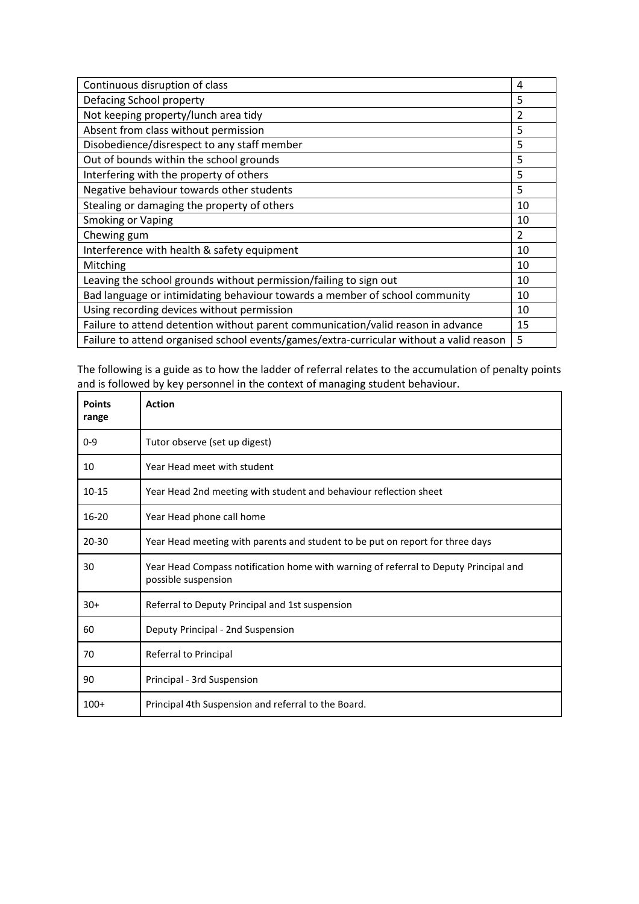| Continuous disruption of class                                                          |                |
|-----------------------------------------------------------------------------------------|----------------|
| Defacing School property                                                                | 5              |
| Not keeping property/lunch area tidy                                                    | $\overline{2}$ |
| Absent from class without permission                                                    | 5              |
| Disobedience/disrespect to any staff member                                             | 5              |
| Out of bounds within the school grounds                                                 | 5              |
| Interfering with the property of others                                                 | 5              |
| Negative behaviour towards other students                                               | 5              |
| Stealing or damaging the property of others                                             | 10             |
| <b>Smoking or Vaping</b>                                                                | 10             |
| Chewing gum                                                                             | 2              |
| Interference with health & safety equipment                                             | 10             |
| Mitching                                                                                | 10             |
| Leaving the school grounds without permission/failing to sign out                       | 10             |
| Bad language or intimidating behaviour towards a member of school community             | 10             |
| Using recording devices without permission                                              |                |
| Failure to attend detention without parent communication/valid reason in advance        |                |
| Failure to attend organised school events/games/extra-curricular without a valid reason |                |

The following is a guide as to how the ladder of referral relates to the accumulation of penalty points and is followed by key personnel in the context of managing student behaviour.

| <b>Points</b><br>range | <b>Action</b>                                                                                               |
|------------------------|-------------------------------------------------------------------------------------------------------------|
| $0 - 9$                | Tutor observe (set up digest)                                                                               |
| 10                     | Year Head meet with student                                                                                 |
| $10 - 15$              | Year Head 2nd meeting with student and behaviour reflection sheet                                           |
| 16-20                  | Year Head phone call home                                                                                   |
| $20 - 30$              | Year Head meeting with parents and student to be put on report for three days                               |
| 30                     | Year Head Compass notification home with warning of referral to Deputy Principal and<br>possible suspension |
| $30+$                  | Referral to Deputy Principal and 1st suspension                                                             |
| 60                     | Deputy Principal - 2nd Suspension                                                                           |
| 70                     | Referral to Principal                                                                                       |
| 90                     | Principal - 3rd Suspension                                                                                  |
| $100+$                 | Principal 4th Suspension and referral to the Board.                                                         |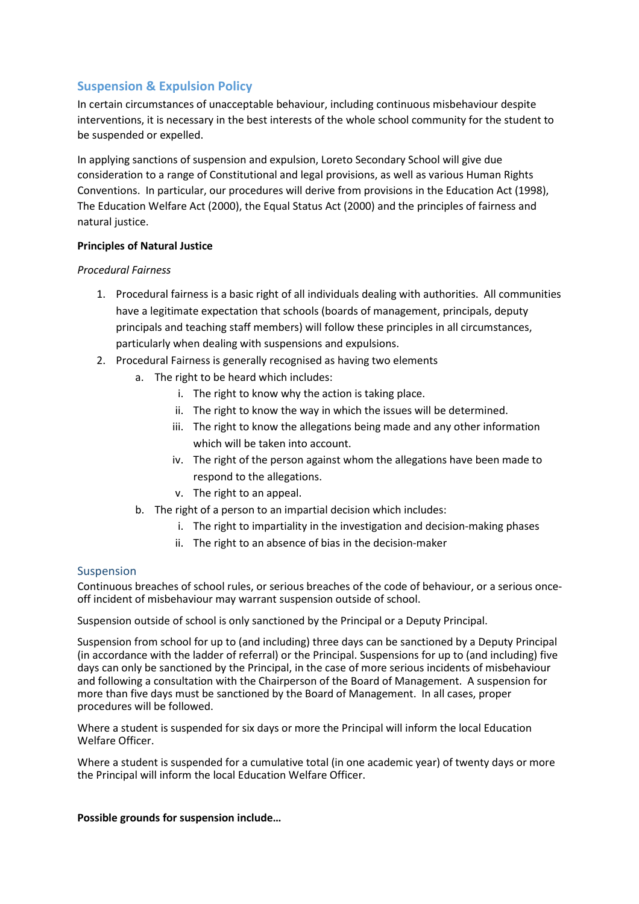## **Suspension & Expulsion Policy**

In certain circumstances of unacceptable behaviour, including continuous misbehaviour despite interventions, it is necessary in the best interests of the whole school community for the student to be suspended or expelled.

In applying sanctions of suspension and expulsion, Loreto Secondary School will give due consideration to a range of Constitutional and legal provisions, as well as various Human Rights Conventions. In particular, our procedures will derive from provisions in the Education Act (1998), The Education Welfare Act (2000), the Equal Status Act (2000) and the principles of fairness and natural justice.

#### **Principles of Natural Justice**

#### *Procedural Fairness*

- 1. Procedural fairness is a basic right of all individuals dealing with authorities. All communities have a legitimate expectation that schools (boards of management, principals, deputy principals and teaching staff members) will follow these principles in all circumstances, particularly when dealing with suspensions and expulsions.
- 2. Procedural Fairness is generally recognised as having two elements
	- a. The right to be heard which includes:
		- i. The right to know why the action is taking place.
		- ii. The right to know the way in which the issues will be determined.
		- iii. The right to know the allegations being made and any other information which will be taken into account.
		- iv. The right of the person against whom the allegations have been made to respond to the allegations.
		- v. The right to an appeal.
	- b. The right of a person to an impartial decision which includes:
		- i. The right to impartiality in the investigation and decision-making phases
		- ii. The right to an absence of bias in the decision-maker

#### **Suspension**

Continuous breaches of school rules, or serious breaches of the code of behaviour, or a serious onceoff incident of misbehaviour may warrant suspension outside of school.

Suspension outside of school is only sanctioned by the Principal or a Deputy Principal.

Suspension from school for up to (and including) three days can be sanctioned by a Deputy Principal (in accordance with the ladder of referral) or the Principal. Suspensions for up to (and including) five days can only be sanctioned by the Principal, in the case of more serious incidents of misbehaviour and following a consultation with the Chairperson of the Board of Management. A suspension for more than five days must be sanctioned by the Board of Management. In all cases, proper procedures will be followed.

Where a student is suspended for six days or more the Principal will inform the local Education Welfare Officer.

Where a student is suspended for a cumulative total (in one academic year) of twenty days or more the Principal will inform the local Education Welfare Officer.

**Possible grounds for suspension include…**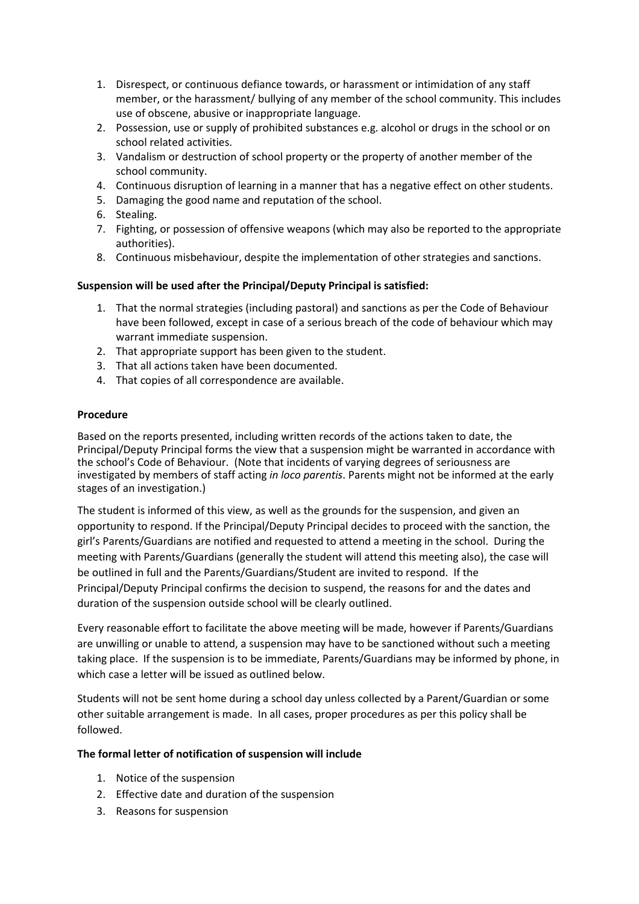- 1. Disrespect, or continuous defiance towards, or harassment or intimidation of any staff member, or the harassment/ bullying of any member of the school community. This includes use of obscene, abusive or inappropriate language.
- 2. Possession, use or supply of prohibited substances e.g. alcohol or drugs in the school or on school related activities.
- 3. Vandalism or destruction of school property or the property of another member of the school community.
- 4. Continuous disruption of learning in a manner that has a negative effect on other students.
- 5. Damaging the good name and reputation of the school.
- 6. Stealing.
- 7. Fighting, or possession of offensive weapons (which may also be reported to the appropriate authorities).
- 8. Continuous misbehaviour, despite the implementation of other strategies and sanctions.

#### **Suspension will be used after the Principal/Deputy Principal is satisfied:**

- 1. That the normal strategies (including pastoral) and sanctions as per the Code of Behaviour have been followed, except in case of a serious breach of the code of behaviour which may warrant immediate suspension.
- 2. That appropriate support has been given to the student.
- 3. That all actions taken have been documented.
- 4. That copies of all correspondence are available.

#### **Procedure**

Based on the reports presented, including written records of the actions taken to date, the Principal/Deputy Principal forms the view that a suspension might be warranted in accordance with the school's Code of Behaviour. (Note that incidents of varying degrees of seriousness are investigated by members of staff acting *in loco parentis*. Parents might not be informed at the early stages of an investigation.)

The student is informed of this view, as well as the grounds for the suspension, and given an opportunity to respond. If the Principal/Deputy Principal decides to proceed with the sanction, the girl's Parents/Guardians are notified and requested to attend a meeting in the school. During the meeting with Parents/Guardians (generally the student will attend this meeting also), the case will be outlined in full and the Parents/Guardians/Student are invited to respond. If the Principal/Deputy Principal confirms the decision to suspend, the reasons for and the dates and duration of the suspension outside school will be clearly outlined.

Every reasonable effort to facilitate the above meeting will be made, however if Parents/Guardians are unwilling or unable to attend, a suspension may have to be sanctioned without such a meeting taking place. If the suspension is to be immediate, Parents/Guardians may be informed by phone, in which case a letter will be issued as outlined below.

Students will not be sent home during a school day unless collected by a Parent/Guardian or some other suitable arrangement is made. In all cases, proper procedures as per this policy shall be followed.

#### **The formal letter of notification of suspension will include**

- 1. Notice of the suspension
- 2. Effective date and duration of the suspension
- 3. Reasons for suspension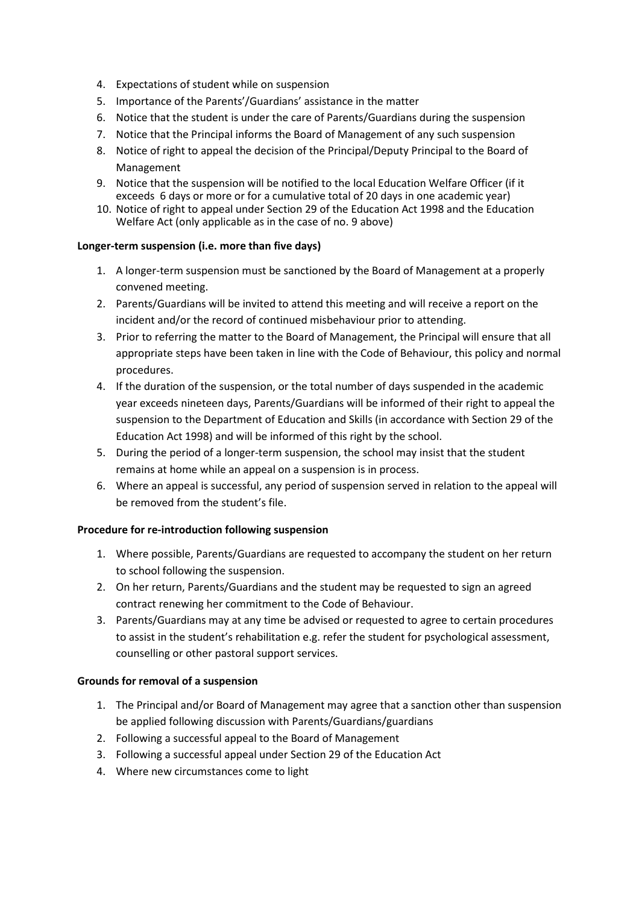- 4. Expectations of student while on suspension
- 5. Importance of the Parents'/Guardians' assistance in the matter
- 6. Notice that the student is under the care of Parents/Guardians during the suspension
- 7. Notice that the Principal informs the Board of Management of any such suspension
- 8. Notice of right to appeal the decision of the Principal/Deputy Principal to the Board of Management
- 9. Notice that the suspension will be notified to the local Education Welfare Officer (if it exceeds 6 days or more or for a cumulative total of 20 days in one academic year)
- 10. Notice of right to appeal under Section 29 of the Education Act 1998 and the Education Welfare Act (only applicable as in the case of no. 9 above)

#### **Longer-term suspension (i.e. more than five days)**

- 1. A longer-term suspension must be sanctioned by the Board of Management at a properly convened meeting.
- 2. Parents/Guardians will be invited to attend this meeting and will receive a report on the incident and/or the record of continued misbehaviour prior to attending.
- 3. Prior to referring the matter to the Board of Management, the Principal will ensure that all appropriate steps have been taken in line with the Code of Behaviour, this policy and normal procedures.
- 4. If the duration of the suspension, or the total number of days suspended in the academic year exceeds nineteen days, Parents/Guardians will be informed of their right to appeal the suspension to the Department of Education and Skills (in accordance with Section 29 of the Education Act 1998) and will be informed of this right by the school.
- 5. During the period of a longer-term suspension, the school may insist that the student remains at home while an appeal on a suspension is in process.
- 6. Where an appeal is successful, any period of suspension served in relation to the appeal will be removed from the student's file.

#### **Procedure for re-introduction following suspension**

- 1. Where possible, Parents/Guardians are requested to accompany the student on her return to school following the suspension.
- 2. On her return, Parents/Guardians and the student may be requested to sign an agreed contract renewing her commitment to the Code of Behaviour.
- 3. Parents/Guardians may at any time be advised or requested to agree to certain procedures to assist in the student's rehabilitation e.g. refer the student for psychological assessment, counselling or other pastoral support services.

#### **Grounds for removal of a suspension**

- 1. The Principal and/or Board of Management may agree that a sanction other than suspension be applied following discussion with Parents/Guardians/guardians
- 2. Following a successful appeal to the Board of Management
- 3. Following a successful appeal under Section 29 of the Education Act
- 4. Where new circumstances come to light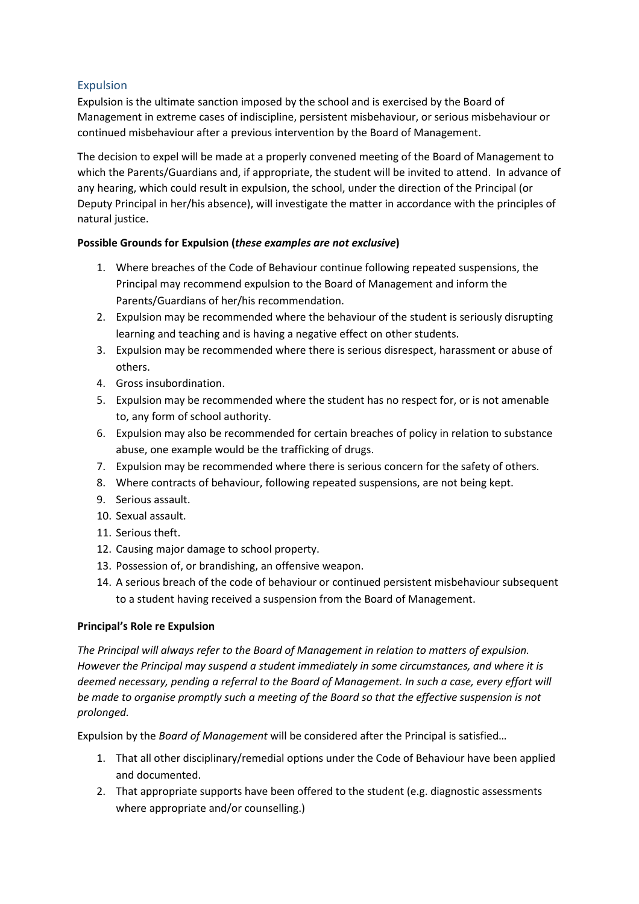## Expulsion

Expulsion is the ultimate sanction imposed by the school and is exercised by the Board of Management in extreme cases of indiscipline, persistent misbehaviour, or serious misbehaviour or continued misbehaviour after a previous intervention by the Board of Management.

The decision to expel will be made at a properly convened meeting of the Board of Management to which the Parents/Guardians and, if appropriate, the student will be invited to attend. In advance of any hearing, which could result in expulsion, the school, under the direction of the Principal (or Deputy Principal in her/his absence), will investigate the matter in accordance with the principles of natural justice.

## **Possible Grounds for Expulsion (***these examples are not exclusive***)**

- 1. Where breaches of the Code of Behaviour continue following repeated suspensions, the Principal may recommend expulsion to the Board of Management and inform the Parents/Guardians of her/his recommendation.
- 2. Expulsion may be recommended where the behaviour of the student is seriously disrupting learning and teaching and is having a negative effect on other students.
- 3. Expulsion may be recommended where there is serious disrespect, harassment or abuse of others.
- 4. Gross insubordination.
- 5. Expulsion may be recommended where the student has no respect for, or is not amenable to, any form of school authority.
- 6. Expulsion may also be recommended for certain breaches of policy in relation to substance abuse, one example would be the trafficking of drugs.
- 7. Expulsion may be recommended where there is serious concern for the safety of others.
- 8. Where contracts of behaviour, following repeated suspensions, are not being kept.
- 9. Serious assault.
- 10. Sexual assault.
- 11. Serious theft.
- 12. Causing major damage to school property.
- 13. Possession of, or brandishing, an offensive weapon.
- 14. A serious breach of the code of behaviour or continued persistent misbehaviour subsequent to a student having received a suspension from the Board of Management.

## **Principal's Role re Expulsion**

*The Principal will always refer to the Board of Management in relation to matters of expulsion. However the Principal may suspend a student immediately in some circumstances, and where it is deemed necessary, pending a referral to the Board of Management. In such a case, every effort will be made to organise promptly such a meeting of the Board so that the effective suspension is not prolonged.* 

Expulsion by the *Board of Management* will be considered after the Principal is satisfied…

- 1. That all other disciplinary/remedial options under the Code of Behaviour have been applied and documented.
- 2. That appropriate supports have been offered to the student (e.g. diagnostic assessments where appropriate and/or counselling.)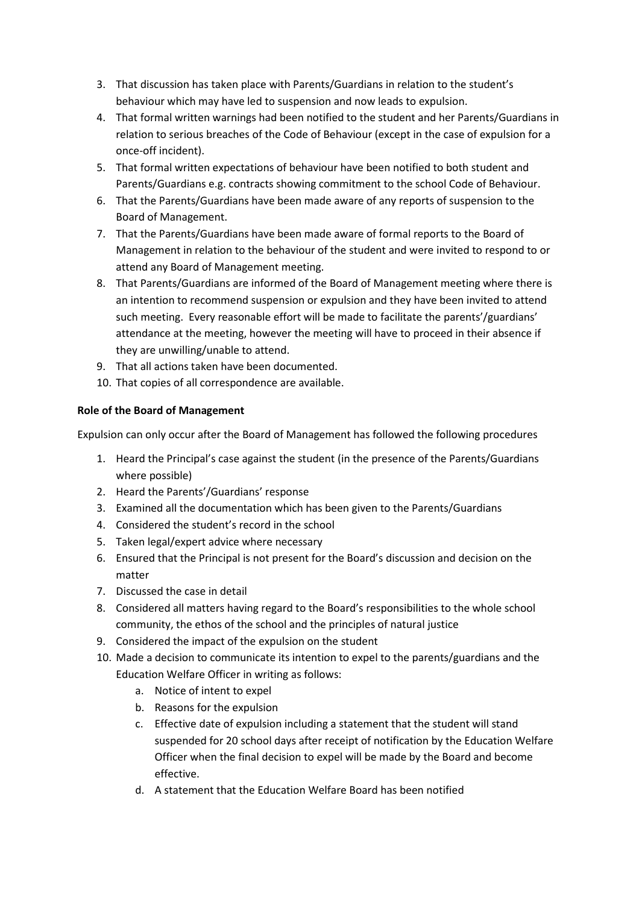- 3. That discussion has taken place with Parents/Guardians in relation to the student's behaviour which may have led to suspension and now leads to expulsion.
- 4. That formal written warnings had been notified to the student and her Parents/Guardians in relation to serious breaches of the Code of Behaviour (except in the case of expulsion for a once-off incident).
- 5. That formal written expectations of behaviour have been notified to both student and Parents/Guardians e.g. contracts showing commitment to the school Code of Behaviour.
- 6. That the Parents/Guardians have been made aware of any reports of suspension to the Board of Management.
- 7. That the Parents/Guardians have been made aware of formal reports to the Board of Management in relation to the behaviour of the student and were invited to respond to or attend any Board of Management meeting.
- 8. That Parents/Guardians are informed of the Board of Management meeting where there is an intention to recommend suspension or expulsion and they have been invited to attend such meeting. Every reasonable effort will be made to facilitate the parents'/guardians' attendance at the meeting, however the meeting will have to proceed in their absence if they are unwilling/unable to attend.
- 9. That all actions taken have been documented.
- 10. That copies of all correspondence are available.

## **Role of the Board of Management**

Expulsion can only occur after the Board of Management has followed the following procedures

- 1. Heard the Principal's case against the student (in the presence of the Parents/Guardians where possible)
- 2. Heard the Parents'/Guardians' response
- 3. Examined all the documentation which has been given to the Parents/Guardians
- 4. Considered the student's record in the school
- 5. Taken legal/expert advice where necessary
- 6. Ensured that the Principal is not present for the Board's discussion and decision on the matter
- 7. Discussed the case in detail
- 8. Considered all matters having regard to the Board's responsibilities to the whole school community, the ethos of the school and the principles of natural justice
- 9. Considered the impact of the expulsion on the student
- 10. Made a decision to communicate its intention to expel to the parents/guardians and the Education Welfare Officer in writing as follows:
	- a. Notice of intent to expel
	- b. Reasons for the expulsion
	- c. Effective date of expulsion including a statement that the student will stand suspended for 20 school days after receipt of notification by the Education Welfare Officer when the final decision to expel will be made by the Board and become effective.
	- d. A statement that the Education Welfare Board has been notified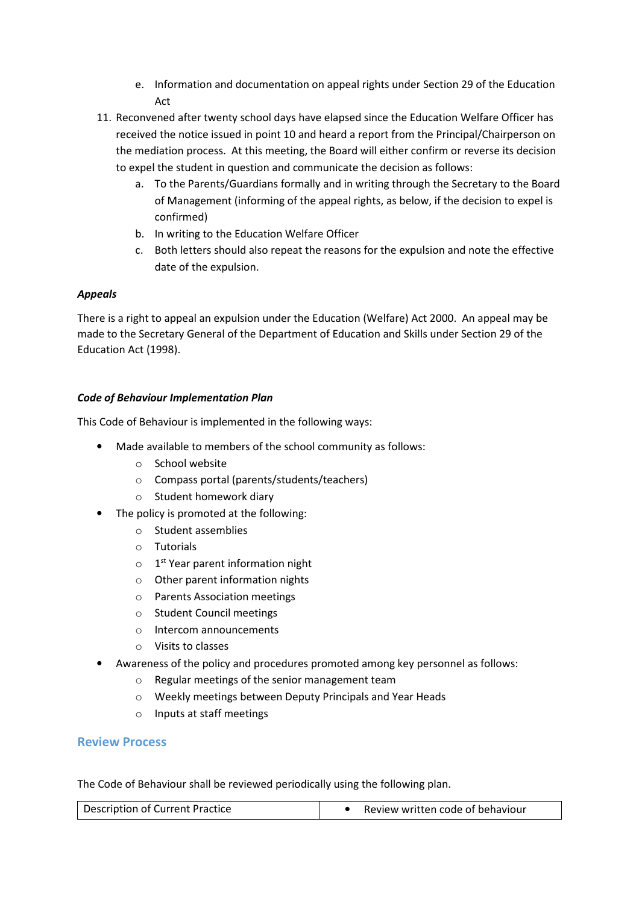- e. Information and documentation on appeal rights under Section 29 of the Education Act
- 11. Reconvened after twenty school days have elapsed since the Education Welfare Officer has received the notice issued in point 10 and heard a report from the Principal/Chairperson on the mediation process. At this meeting, the Board will either confirm or reverse its decision to expel the student in question and communicate the decision as follows:
	- a. To the Parents/Guardians formally and in writing through the Secretary to the Board of Management (informing of the appeal rights, as below, if the decision to expel is confirmed)
	- b. In writing to the Education Welfare Officer
	- c. Both letters should also repeat the reasons for the expulsion and note the effective date of the expulsion.

## *Appeals*

There is a right to appeal an expulsion under the Education (Welfare) Act 2000. An appeal may be made to the Secretary General of the Department of Education and Skills under Section 29 of the Education Act (1998).

## *Code of Behaviour Implementation Plan*

This Code of Behaviour is implemented in the following ways:

- Made available to members of the school community as follows:
	- o School website
	- o Compass portal (parents/students/teachers)
	- o Student homework diary
- The policy is promoted at the following:
	- o Student assemblies
	- o Tutorials
	- $\circ$  1<sup>st</sup> Year parent information night
	- o Other parent information nights
	- o Parents Association meetings
	- o Student Council meetings
	- o Intercom announcements
	- o Visits to classes
- Awareness of the policy and procedures promoted among key personnel as follows:
	- o Regular meetings of the senior management team
	- o Weekly meetings between Deputy Principals and Year Heads
	- o Inputs at staff meetings

## **Review Process**

The Code of Behaviour shall be reviewed periodically using the following plan.